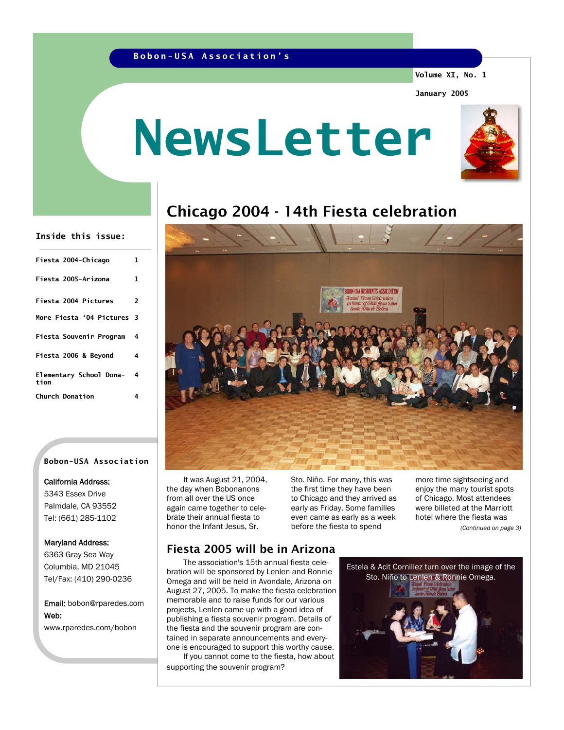## **Bobon-USA Association's**

**Volume XI, No. 1** 

**January 2005** 

# **NewsLetter**



## Chicago 2004 - 14th Fiesta celebration

#### **Inside this issue:**

| Fiesta 2004-Chicago             | ı |
|---------------------------------|---|
| Fiesta 2005-Arizona             | 1 |
| <b>Fiesta 2004 Pictures</b>     | 2 |
| More Fiesta '04 Pictures 3      |   |
| Fiesta Souvenir Program         | 4 |
| Fiesta 2006 & Bevond            | 4 |
| Elementary School Dona-<br>tion | 4 |
| <b>Church Donation</b>          | 4 |

#### **Bobon-USA Association**

#### California Address:

5343 Essex Drive Palmdale, CA 93552 Tel: (661) 285-1102

#### Maryland Address:

6363 Gray Sea Way Columbia, MD 21045 Tel/Fax: (410) 290-0236

Email: bobon@rparedes.com Web: www.rparedes.com/bobon

 It was August 21, 2004, the day when Bobonanons from all over the US once again came together to celebrate their annual fiesta to honor the Infant Jesus, Sr.

Sto. Niño. For many, this was the first time they have been to Chicago and they arrived as early as Friday. Some families even came as early as a week before the fiesta to spend

NHSA RESIDENTS ASSOCIATION

more time sightseeing and enjoy the many tourist spots of Chicago. Most attendees were billeted at the Marriott hotel where the fiesta was *(Continued on page 3)* 

## Fiesta 2005 will be in Arizona

 The association's 15th annual fiesta celebration will be sponsored by Lenlen and Ronnie Omega and will be held in Avondale, Arizona on August 27, 2005. To make the fiesta celebration memorable and to raise funds for our various projects, Lenlen came up with a good idea of publishing a fiesta souvenir program. Details of the fiesta and the souvenir program are contained in separate announcements and everyone is encouraged to support this worthy cause. If you cannot come to the fiesta, how about

supporting the souvenir program?

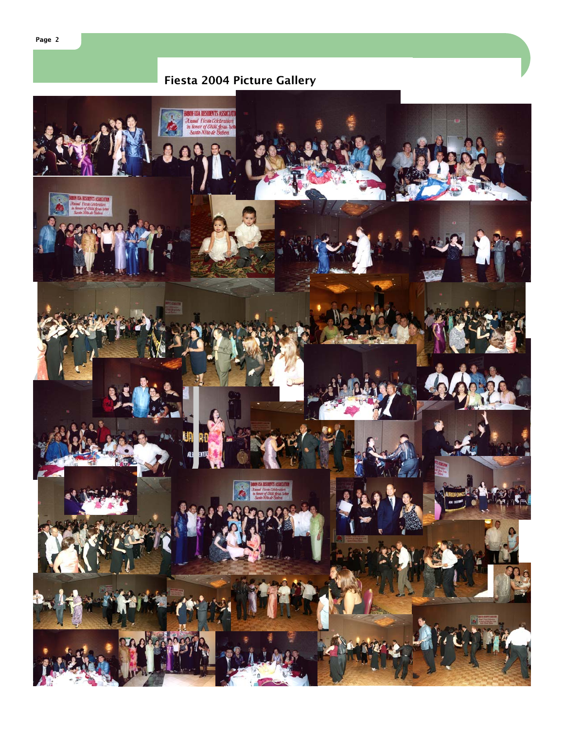## Fiesta 2004 Picture Gallery

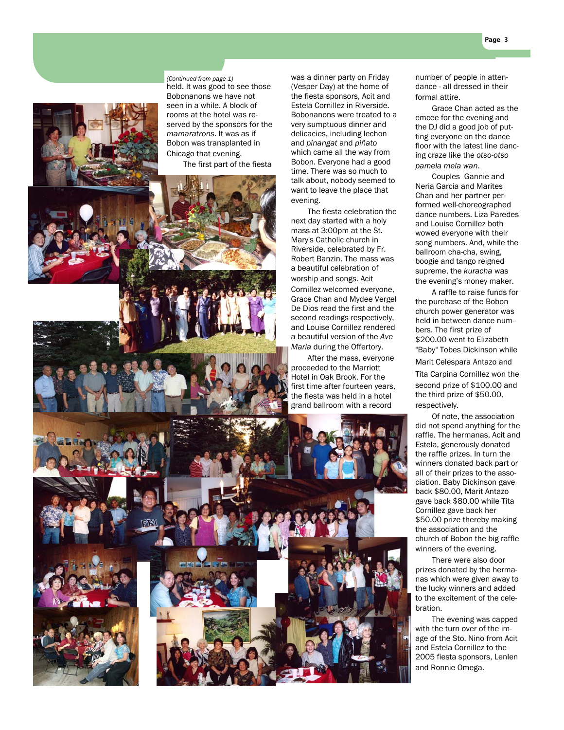(Vesper Day) at the home of the fiesta sponsors, Acit and Estela Cornillez in Riverside. Bobonanons were treated to a very sumptuous dinner and delicacies, including lechon and *pinangat* and *piñato* which came all the way from Bobon. Everyone had a good time. There was so much to talk about, nobody seemed to want to leave the place that

 The fiesta celebration the next day started with a holy mass at 3:00pm at the St. Mary's Catholic church in Riverside, celebrated by Fr. Robert Banzin. The mass was a beautiful celebration of worship and songs. Acit Cornillez welcomed everyone, Grace Chan and Mydee Vergel De Dios read the first and the second readings respectively, and Louise Cornillez rendered a beautiful version of the *Ave Maria* during the Offertory. After the mass, everyone proceeded to the Marriott Hotel in Oak Brook. For the first time after fourteen years, the fiesta was held in a hotel grand ballroom with a record

evening.

number of people in attendance - all dressed in their formal attire.

 Grace Chan acted as the emcee for the evening and the DJ did a good job of putting everyone on the dance floor with the latest line dancing craze like the *otso-otso pamela mela wan*.

 Couples Gannie and Neria Garcia and Marites Chan and her partner performed well-choreographed dance numbers. Liza Paredes and Louise Cornillez both wowed everyone with their song numbers. And, while the ballroom cha-cha, swing, boogie and tango reigned supreme, the *kuracha* was the evening's money maker.

 A raffle to raise funds for the purchase of the Bobon church power generator was held in between dance numbers. The first prize of \$200.00 went to Elizabeth "Baby" Tobes Dickinson while

Marit Celespara Antazo and

Tita Carpina Cornillez won the second prize of \$100.00 and the third prize of \$50.00, respectively.

 Of note, the association did not spend anything for the raffle. The hermanas, Acit and Estela, generously donated the raffle prizes. In turn the winners donated back part or all of their prizes to the association. Baby Dickinson gave back \$80.00, Marit Antazo gave back \$80.00 while Tita Cornillez gave back her \$50.00 prize thereby making the association and the church of Bobon the big raffle winners of the evening.

 There were also door prizes donated by the hermanas which were given away to the lucky winners and added to the excitement of the celebration.

 The evening was capped with the turn over of the image of the Sto. Nino from Acit and Estela Cornillez to the 2005 fiesta sponsors, Lenlen and Ronnie Omega.

#### *(Continued from page 1)* was a dinner party on Friday

held. It was good to see those Bobonanons we have not seen in a while. A block of rooms at the hotel was reserved by the sponsors for the *mamaratrons*. It was as if Bobon was transplanted in Chicago that evening.

The first part of the fiesta